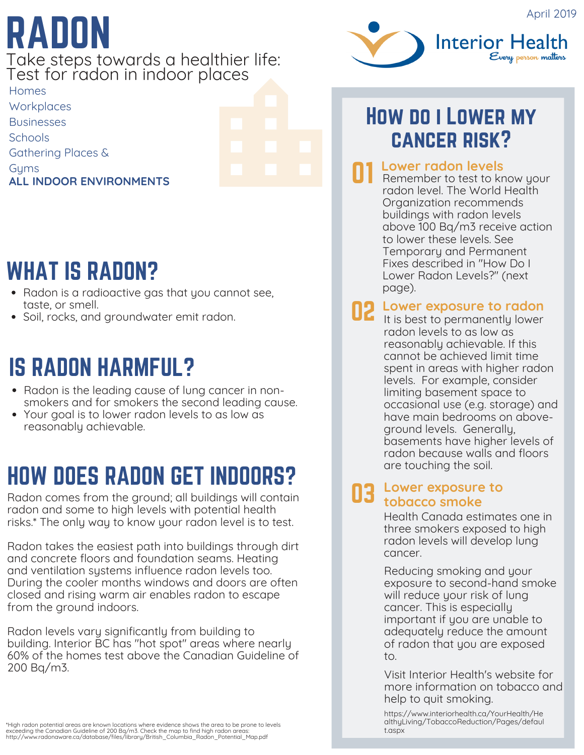# RADON

Take steps towards a healthier life: Test for radon in indoor places

Homes **Workplaces Businesses Schools** Gathering Places & **Gyms ALL INDOOR ENVIRONMENTS**



### WHAT IS RADON?

- Radon is a radioactive gas that you cannot see, taste, or smell.
- Soil, rocks, and groundwater emit radon.

### IS RADON HARMFUL?

- Radon is the leading cause of lung cancer in nonsmokers and for smokers the second leading cause.
- Your goal is to lower radon levels to as low as reasonably achievable.

### HOW DOES RADON GET INDOORS?

Radon comes from the ground; all buildings will contain radon and some to high levels with potential health risks.\* The only way to know your radon level is to test.

Radon takes the easiest path into buildings through dirt and concrete floors and foundation seams. Heating and ventilation systems influence radon levels too. During the cooler months windows and doors are often closed and rising warm air enables radon to escape from the ground indoors.

Radon levels vary significantly from building to building. Interior BC has "hot spot" areas where nearly 60% of the homes test above the Canadian Guideline of 200 Bq/m3.



### How do i Lower my cancer risk?

#### **Lower radon levels** 01

Remember to test to know your radon level. The World Health Organization recommends buildings with radon levels above 100 Bq/m3 receive action to lower these levels. See Temporary and Permanent Fixes described in "How Do I Lower Radon Levels?" (next page).

### **O2** Lower exposure to radon<br>**Let** it is best to permanently lower

radon levels to as low as reasonably achievable. If this cannot be achieved limit time spent in areas with higher radon levels. For example, consider limiting basement space to occasional use (e.g. storage) and have main bedrooms on aboveground levels. Generally, basements have higher levels of radon because walls and floors are touching the soil.

#### 03 **Lower exposure to tobacco smoke**

Health Canada estimates one in three smokers exposed to high radon levels will develop lung cancer.

Reducing smoking and your exposure to second-hand smoke will reduce your risk of lung cancer. This is especially important if you are unable to adequately reduce the amount of radon that you are exposed to.

Visit Interior Health's website for more [information](https://www.interiorhealth.ca/YourHealth/HealthyLiving/TobaccoReduction/Pages/default.aspx) on tobacco and help to quit smoking.

https://www.interiorhealth.ca/YourHealth/He [althyLiving/TobaccoReduction/Pages/defaul](https://www.interiorhealth.ca/YourHealth/HealthyLiving/TobaccoReduction/Pages/default.aspx) t.aspx

"High radon potential areas are known locations where evidence shows the area to be prone to levels<br>exceeding the Canadian Guideline of 200 Ba/m3. Check the map to find high radon areas:<br>http://www.radonaware.ca/database/f